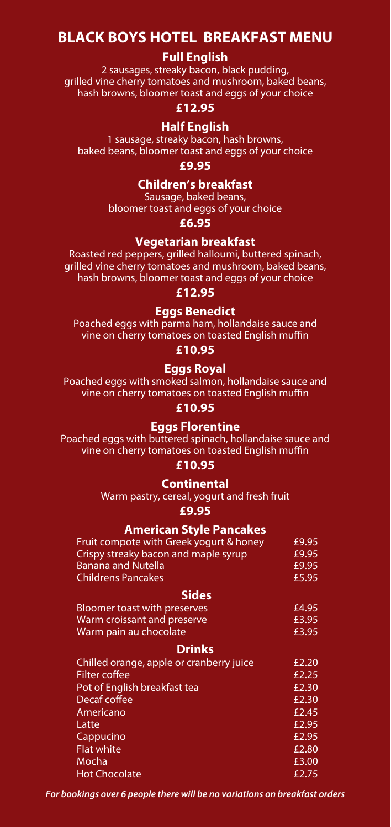# **BLACK BOYS HOTEL BREAKFAST MENU**

# **Full English**

2 sausages, streaky bacon, black pudding, grilled vine cherry tomatoes and mushroom, baked beans, hash browns, bloomer toast and eggs of your choice

# **£12.95**

# **Half English**

1 sausage, streaky bacon, hash browns, baked beans, bloomer toast and eggs of your choice

**£9.95**

# **Children's breakfast**

Sausage, baked beans, bloomer toast and eggs of your choice

**£6.95**

# **Vegetarian breakfast**

Roasted red peppers, grilled halloumi, buttered spinach, grilled vine cherry tomatoes and mushroom, baked beans, hash browns, bloomer toast and eggs of your choice

# **£12.95**

### **Eggs Benedict**

Poached eggs with parma ham, hollandaise sauce and vine on cherry tomatoes on toasted English muffin

**£10.95**

# **Eggs Royal**

Poached eggs with smoked salmon, hollandaise sauce and vine on cherry tomatoes on toasted English muffin

# **£10.95**

# **Eggs Florentine**

Poached eggs with buttered spinach, hollandaise sauce and vine on cherry tomatoes on toasted English muffin

#### **£10.95**

# **Continental**

Warm pastry, cereal, yogurt and fresh fruit

**£9.95**

# **American Style Pancakes**

| Fruit compote with Greek yogurt & honey | £9.95 |
|-----------------------------------------|-------|
| Crispy streaky bacon and maple syrup    | £9.95 |
| Banana and Nutella                      | £9.95 |
| Childrens Pancakes                      | £5.95 |

# **Sides**

| <b>Bloomer toast with preserves</b><br>Warm croissant and preserve<br>Warm pain au chocolate | £4.95 |  |
|----------------------------------------------------------------------------------------------|-------|--|
|                                                                                              | £3.95 |  |
|                                                                                              | £3.95 |  |

### **Drinks**

| Chilled orange, apple or cranberry juice | £2.20 |
|------------------------------------------|-------|
| <b>Filter coffee</b>                     | £2.25 |
| Pot of English breakfast tea             | £2.30 |
| Decaf coffee                             | £2.30 |
| Americano                                | £2.45 |
| Latte                                    | £2.95 |
| Cappucino                                | E2.95 |
| <b>Flat white</b>                        | £2.80 |
| Mocha                                    | £3.00 |
| <b>Hot Chocolate</b>                     | £2.75 |

*For bookings over 6 people there will be no variations on breakfast orders*